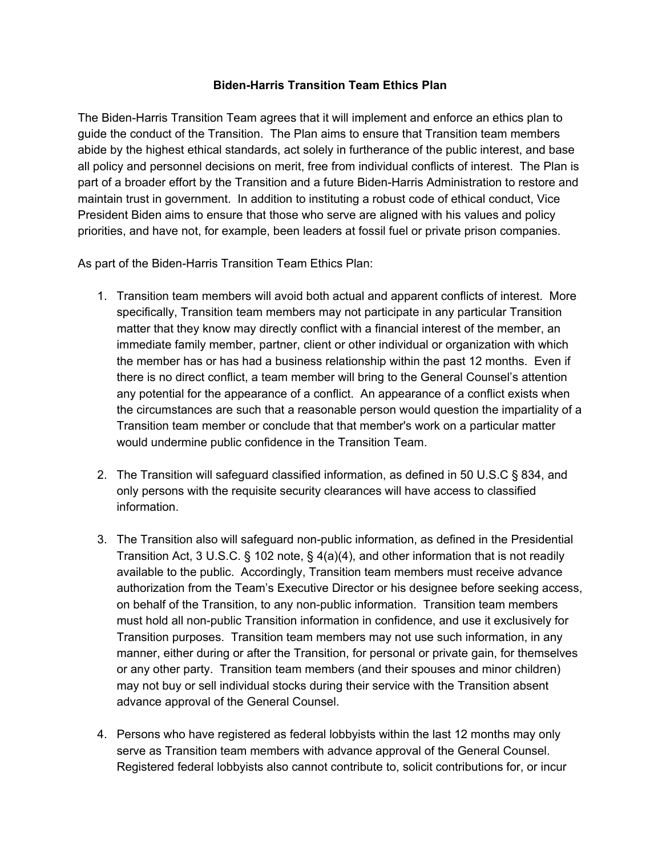## **Biden-Harris Transition Team Ethics Plan**

The Biden-Harris Transition Team agrees that it will implement and enforce an ethics plan to guide the conduct of the Transition. The Plan aims to ensure that Transition team members abide by the highest ethical standards, act solely in furtherance of the public interest, and base all policy and personnel decisions on merit, free from individual conflicts of interest. The Plan is part of a broader effort by the Transition and a future Biden-Harris Administration to restore and maintain trust in government. In addition to instituting a robust code of ethical conduct, Vice President Biden aims to ensure that those who serve are aligned with his values and policy priorities, and have not, for example, been leaders at fossil fuel or private prison companies.

As part of the Biden-Harris Transition Team Ethics Plan:

- 1. Transition team members will avoid both actual and apparent conflicts of interest. More specifically, Transition team members may not participate in any particular Transition matter that they know may directly conflict with a financial interest of the member, an immediate family member, partner, client or other individual or organization with which the member has or has had a business relationship within the past 12 months. Even if there is no direct conflict, a team member will bring to the General Counsel's attention any potential for the appearance of a conflict. An appearance of a conflict exists when the circumstances are such that a reasonable person would question the impartiality of a Transition team member or conclude that that member's work on a particular matter would undermine public confidence in the Transition Team.
- 2. The Transition will safeguard classified information, as defined in 50 U.S.C § 834, and only persons with the requisite security clearances will have access to classified information.
- 3. The Transition also will safeguard non-public information, as defined in the Presidential Transition Act, 3 U.S.C. § 102 note, § 4(a)(4), and other information that is not readily available to the public. Accordingly, Transition team members must receive advance authorization from the Team's Executive Director or his designee before seeking access, on behalf of the Transition, to any non-public information. Transition team members must hold all non-public Transition information in confidence, and use it exclusively for Transition purposes. Transition team members may not use such information, in any manner, either during or after the Transition, for personal or private gain, for themselves or any other party. Transition team members (and their spouses and minor children) may not buy or sell individual stocks during their service with the Transition absent advance approval of the General Counsel.
- 4. Persons who have registered as federal lobbyists within the last 12 months may only serve as Transition team members with advance approval of the General Counsel. Registered federal lobbyists also cannot contribute to, solicit contributions for, or incur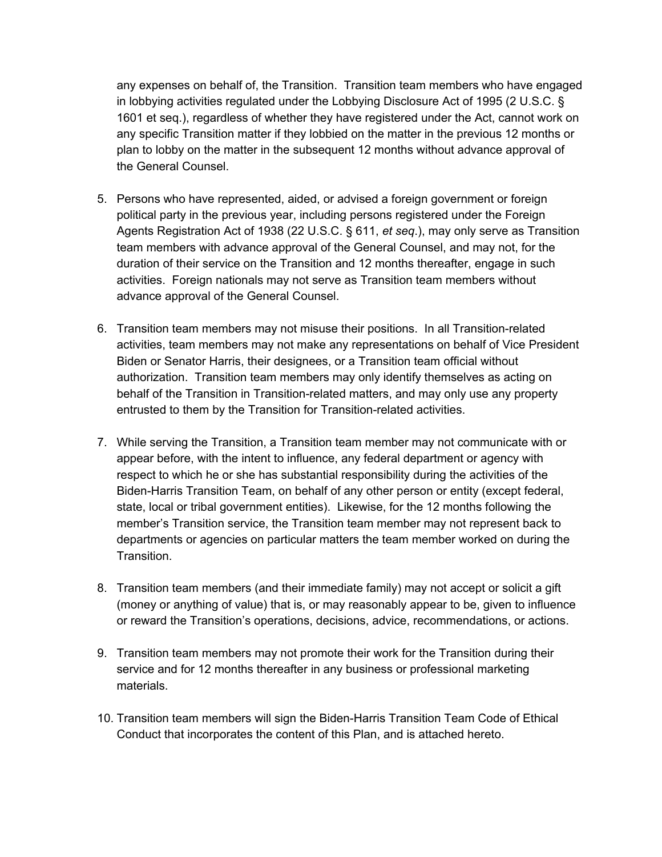any expenses on behalf of, the Transition. Transition team members who have engaged in lobbying activities regulated under the Lobbying Disclosure Act of 1995 (2 U.S.C. § 1601 et seq.), regardless of whether they have registered under the Act, cannot work on any specific Transition matter if they lobbied on the matter in the previous 12 months or plan to lobby on the matter in the subsequent 12 months without advance approval of the General Counsel.

- 5. Persons who have represented, aided, or advised a foreign government or foreign political party in the previous year, including persons registered under the Foreign Agents Registration Act of 1938 (22 U.S.C. § 611, *et seq*.), may only serve as Transition team members with advance approval of the General Counsel, and may not, for the duration of their service on the Transition and 12 months thereafter, engage in such activities. Foreign nationals may not serve as Transition team members without advance approval of the General Counsel.
- 6. Transition team members may not misuse their positions. In all Transition-related activities, team members may not make any representations on behalf of Vice President Biden or Senator Harris, their designees, or a Transition team official without authorization. Transition team members may only identify themselves as acting on behalf of the Transition in Transition-related matters, and may only use any property entrusted to them by the Transition for Transition-related activities.
- 7. While serving the Transition, a Transition team member may not communicate with or appear before, with the intent to influence, any federal department or agency with respect to which he or she has substantial responsibility during the activities of the Biden-Harris Transition Team, on behalf of any other person or entity (except federal, state, local or tribal government entities). Likewise, for the 12 months following the member's Transition service, the Transition team member may not represent back to departments or agencies on particular matters the team member worked on during the Transition.
- 8. Transition team members (and their immediate family) may not accept or solicit a gift (money or anything of value) that is, or may reasonably appear to be, given to influence or reward the Transition's operations, decisions, advice, recommendations, or actions.
- 9. Transition team members may not promote their work for the Transition during their service and for 12 months thereafter in any business or professional marketing materials.
- 10. Transition team members will sign the Biden-Harris Transition Team Code of Ethical Conduct that incorporates the content of this Plan, and is attached hereto.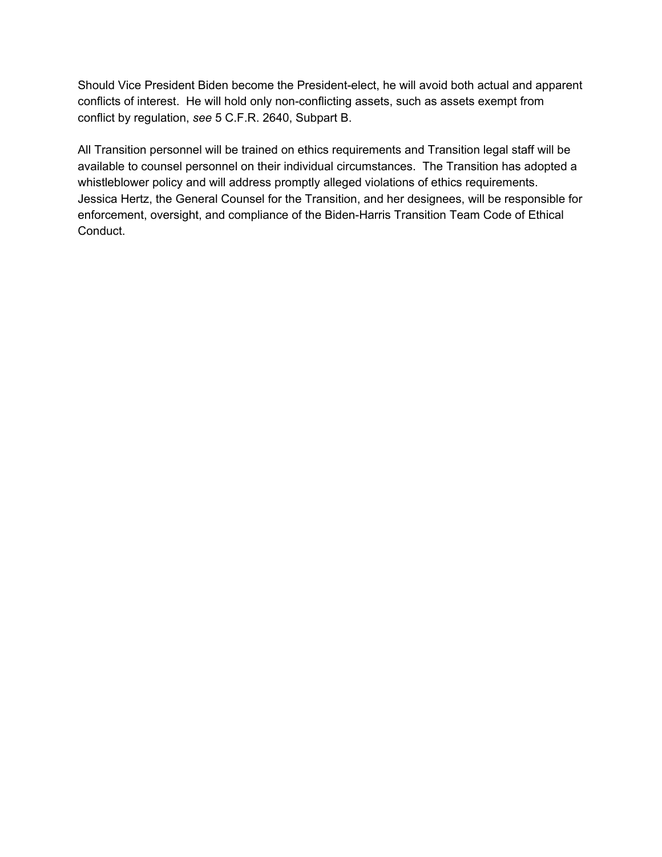Should Vice President Biden become the President-elect, he will avoid both actual and apparent conflicts of interest. He will hold only non-conflicting assets, such as assets exempt from conflict by regulation, *see* 5 C.F.R. 2640, Subpart B.

All Transition personnel will be trained on ethics requirements and Transition legal staff will be available to counsel personnel on their individual circumstances. The Transition has adopted a whistleblower policy and will address promptly alleged violations of ethics requirements. Jessica Hertz, the General Counsel for the Transition, and her designees, will be responsible for enforcement, oversight, and compliance of the Biden-Harris Transition Team Code of Ethical Conduct.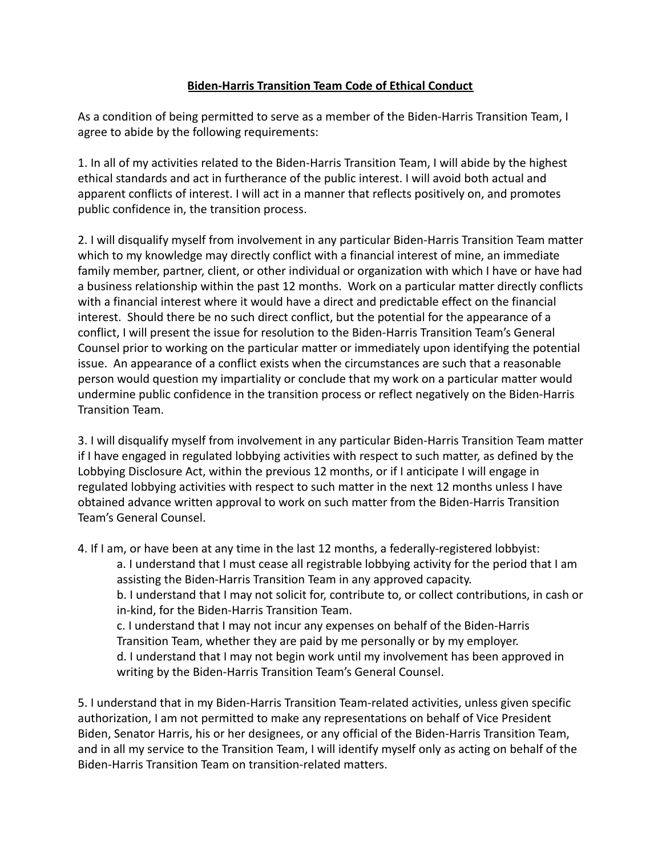## **Biden-Harris Transition Team Code of Ethical Conduct**

As a condition of being permitted to serve as a member of the Biden-Harris Transition Team, I agree to abide by the following requirements:

1. In all of my activities related to the Biden-Harris Transition Team, I will abide by the highest ethical standards and act in furtherance of the public interest. I will avoid both actual and apparent conflicts of interest. I will act in a manner that reflects positively on, and promotes public confidence in, the transition process.

2. I will disqualify myself from involvement in any particular Biden-Harris Transition Team matter which to my knowledge may directly conflict with a financial interest of mine, an immediate family member, partner, client, or other individual or organization with which I have or have had a business relationship within the past 12 months. Work on a particular matter directly conflicts with a financial interest where it would have a direct and predictable effect on the financial interest. Should there be no such direct conflict, but the potential for the appearance of a conflict, I will present the issue for resolution to the Biden-Harris Transition Team's General Counsel prior to working on the particular matter or immediately upon identifying the potential issue. An appearance of a conflict exists when the circumstances are such that a reasonable person would question my impartiality or conclude that my work on a particular matter would undermine public confidence in the transition process or reflect negatively on the Biden-Harris Transition Team.

3. I will disqualify myself from involvement in any particular Biden-Harris Transition Team matter if I have engaged in regulated lobbying activities with respect to such matter, as defined by the Lobbying Disclosure Act, within the previous 12 months, or if I anticipate I will engage in regulated lobbying activities with respect to such matter in the next 12 months unless I have obtained advance written approval to work on such matter from the Biden-Harris Transition Team's General Counsel.

4. If I am, or have been at any time in the last 12 months, a federally-registered lobbyist:

a. I understand that I must cease all registrable lobbying activity for the period that I am assisting the Biden-Harris Transition Team in any approved capacity.

b. I understand that I may not solicit for, contribute to, or collect contributions, in cash or in-kind, for the Biden-Harris Transition Team.

c. I understand that I may not incur any expenses on behalf of the Biden-Harris Transition Team, whether they are paid by me personally or by my employer. d. I understand that I may not begin work until my involvement has been approved in writing by the Biden-Harris Transition Team's General Counsel.

5. I understand that in my Biden-Harris Transition Team-related activities, unless given specific authorization, I am not permitted to make any representations on behalf of Vice President Biden, Senator Harris, his or her designees, or any official of the Biden-Harris Transition Team, and in all my service to the Transition Team, I will identify myself only as acting on behalf of the Biden-Harris Transition Team on transition-related matters.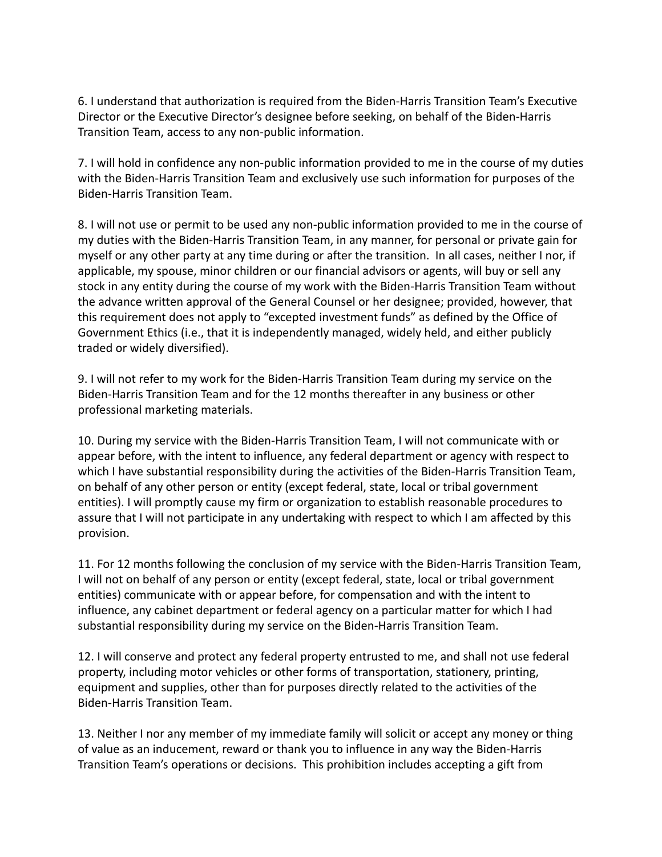6. I understand that authorization is required from the Biden-Harris Transition Team's Executive Director or the Executive Director's designee before seeking, on behalf of the Biden-Harris Transition Team, access to any non-public information.

7. I will hold in confidence any non-public information provided to me in the course of my duties with the Biden-Harris Transition Team and exclusively use such information for purposes of the Biden-Harris Transition Team.

8. I will not use or permit to be used any non-public information provided to me in the course of my duties with the Biden-Harris Transition Team, in any manner, for personal or private gain for myself or any other party at any time during or after the transition. In all cases, neither I nor, if applicable, my spouse, minor children or our financial advisors or agents, will buy or sell any stock in any entity during the course of my work with the Biden-Harris Transition Team without the advance written approval of the General Counsel or her designee; provided, however, that this requirement does not apply to "excepted investment funds" as defined by the Office of Government Ethics (i.e., that it is independently managed, widely held, and either publicly traded or widely diversified).

9. I will not refer to my work for the Biden-Harris Transition Team during my service on the Biden-Harris Transition Team and for the 12 months thereafter in any business or other professional marketing materials.

10. During my service with the Biden-Harris Transition Team, I will not communicate with or appear before, with the intent to influence, any federal department or agency with respect to which I have substantial responsibility during the activities of the Biden-Harris Transition Team, on behalf of any other person or entity (except federal, state, local or tribal government entities). I will promptly cause my firm or organization to establish reasonable procedures to assure that I will not participate in any undertaking with respect to which I am affected by this provision.

11. For 12 months following the conclusion of my service with the Biden-Harris Transition Team, I will not on behalf of any person or entity (except federal, state, local or tribal government entities) communicate with or appear before, for compensation and with the intent to influence, any cabinet department or federal agency on a particular matter for which I had substantial responsibility during my service on the Biden-Harris Transition Team.

12. I will conserve and protect any federal property entrusted to me, and shall not use federal property, including motor vehicles or other forms of transportation, stationery, printing, equipment and supplies, other than for purposes directly related to the activities of the Biden-Harris Transition Team.

13. Neither I nor any member of my immediate family will solicit or accept any money or thing of value as an inducement, reward or thank you to influence in any way the Biden-Harris Transition Team's operations or decisions. This prohibition includes accepting a gift from